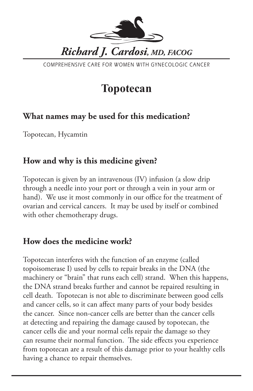

COMPREHENSIVE CARE FOR WOMEN WITH GYNECOLOGIC CANCER

# **Topotecan**

# **What names may be used for this medication?**

Topotecan, Hycamtin

# **How and why is this medicine given?**

Topotecan is given by an intravenous (IV) infusion (a slow drip through a needle into your port or through a vein in your arm or hand). We use it most commonly in our office for the treatment of ovarian and cervical cancers. It may be used by itself or combined with other chemotherapy drugs.

## **How does the medicine work?**

Topotecan interferes with the function of an enzyme (called topoisomerase I) used by cells to repair breaks in the DNA (the machinery or "brain" that runs each cell) strand. When this happens, the DNA strand breaks further and cannot be repaired resulting in cell death. Topotecan is not able to discriminate between good cells and cancer cells, so it can affect many parts of your body besides the cancer. Since non-cancer cells are better than the cancer cells at detecting and repairing the damage caused by topotecan, the cancer cells die and your normal cells repair the damage so they can resume their normal function. The side effects you experience from topotecan are a result of this damage prior to your healthy cells having a chance to repair themselves.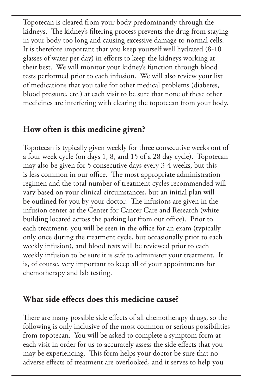Topotecan is cleared from your body predominantly through the kidneys. The kidney's filtering process prevents the drug from staying in your body too long and causing excessive damage to normal cells. It is therefore important that you keep yourself well hydrated (8-10 glasses of water per day) in efforts to keep the kidneys working at their best. We will monitor your kidney's function through blood tests performed prior to each infusion. We will also review your list of medications that you take for other medical problems (diabetes, blood pressure, etc.) at each visit to be sure that none of these other medicines are interfering with clearing the topotecan from your body.

#### **How often is this medicine given?**

Topotecan is typically given weekly for three consecutive weeks out of a four week cycle (on days 1, 8, and 15 of a 28 day cycle). Topotecan may also be given for 5 consecutive days every 3-4 weeks, but this is less common in our office. The most appropriate administration regimen and the total number of treatment cycles recommended will vary based on your clinical circumstances, but an initial plan will be outlined for you by your doctor. The infusions are given in the infusion center at the Center for Cancer Care and Research (white building located across the parking lot from our office). Prior to each treatment, you will be seen in the office for an exam (typically only once during the treatment cycle, but occasionally prior to each weekly infusion), and blood tests will be reviewed prior to each weekly infusion to be sure it is safe to administer your treatment. It is, of course, very important to keep all of your appointments for chemotherapy and lab testing.

### **What side effects does this medicine cause?**

There are many possible side effects of all chemotherapy drugs, so the following is only inclusive of the most common or serious possibilities from topotecan. You will be asked to complete a symptom form at each visit in order for us to accurately assess the side effects that you may be experiencing. This form helps your doctor be sure that no adverse effects of treatment are overlooked, and it serves to help you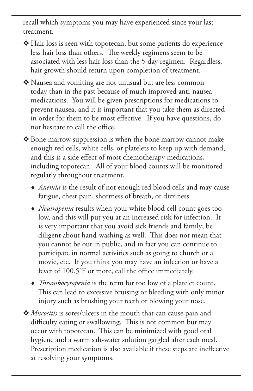recall which symptoms you may have experienced since your last treatment.

 $\triangleleft$  Hair loss is seen with topotecan, but some patients do experience less hair loss than others. The weekly regimens seem to be associated with less hair loss than the 5-day regimen. Regardless, hair growth should return upon completion of treatment.

v Nausea and vomiting are not unusual but are less common today than in the past because of much improved anti-nausea medications. You will be given prescriptions for medications to prevent nausea, and it is important that you take them as directed in order for them to be most effective. If you have questions, do not hesitate to call the office.

◆ Bone marrow suppression is when the bone marrow cannot make enough red cells, white cells, or platelets to keep up with demand, and this is a side effect of most chemotherapy medications, including topotecan. All of your blood counts will be monitored regularly throughout treatment.

 *Anemia* is the result of not enough red blood cells and may cause fatigue, chest pain, shortness of breath, or dizziness.

- *Neutropenia* results when your white blood cell count goes too low, and this will put you at an increased risk for infection. It is very important that you avoid sick friends and family; be diligent about hand-washing as well. This does not mean that you cannot be out in public, and in fact you can continue to participate in normal activities such as going to church or a movie, etc. If you think you may have an infection or have a fever of 100.5°F or more, call the office immediately.
- *Thrombocytopenia* is the term for too low of a platelet count. This can lead to excessive bruising or bleeding with only minor injury such as brushing your teeth or blowing your nose.

v *Mucositis* is sores/ulcers in the mouth that can cause pain and difficulty eating or swallowing. This is not common but may occur with topotecan. This can be minimized with good oral hygiene and a warm salt-water solution gargled after each meal. Prescription medication is also available if these steps are ineffective at resolving your symptoms.